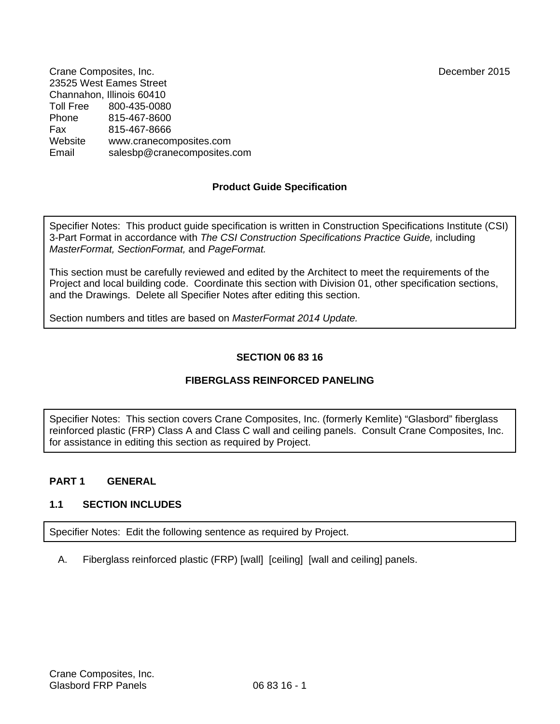Crane Composites, Inc. December 2015 23525 West Eames Street Channahon, Illinois 60410<br>Toll Free 800-435-008 Toll Free 800-435-0080 Phone 815-467-8600 Fax 815-467-8666 Website www.cranecomposites.com Email salesbp@cranecomposites.com

## **Product Guide Specification**

Specifier Notes: This product guide specification is written in Construction Specifications Institute (CSI) 3-Part Format in accordance with *The CSI Construction Specifications Practice Guide,* including *MasterFormat, SectionFormat,* and *PageFormat.* 

This section must be carefully reviewed and edited by the Architect to meet the requirements of the Project and local building code. Coordinate this section with Division 01, other specification sections, and the Drawings. Delete all Specifier Notes after editing this section.

Section numbers and titles are based on *MasterFormat 2014 Update.*

## **SECTION 06 83 16**

## **FIBERGLASS REINFORCED PANELING**

Specifier Notes: This section covers Crane Composites, Inc. (formerly Kemlite) "Glasbord" fiberglass reinforced plastic (FRP) Class A and Class C wall and ceiling panels. Consult Crane Composites, Inc. for assistance in editing this section as required by Project.

### **PART 1 GENERAL**

### **1.1 SECTION INCLUDES**

Specifier Notes: Edit the following sentence as required by Project.

A. Fiberglass reinforced plastic (FRP) [wall] [ceiling] [wall and ceiling] panels.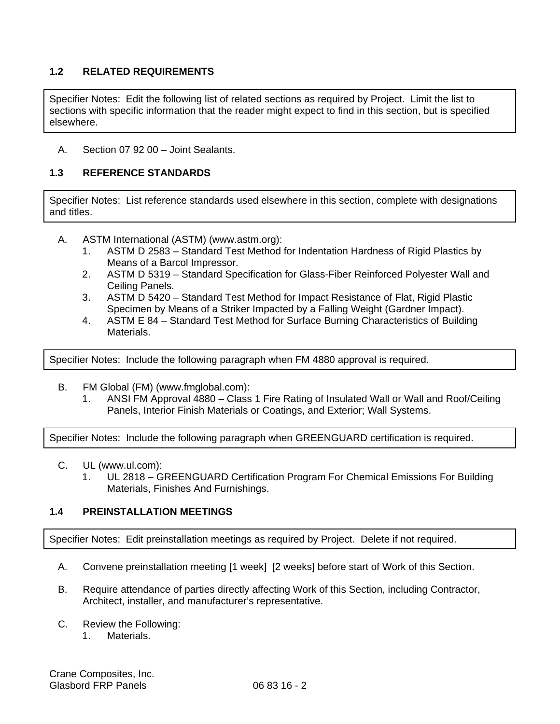## **1.2 RELATED REQUIREMENTS**

Specifier Notes: Edit the following list of related sections as required by Project. Limit the list to sections with specific information that the reader might expect to find in this section, but is specified elsewhere.

A. Section 07 92 00 – Joint Sealants.

## **1.3 REFERENCE STANDARDS**

Specifier Notes: List reference standards used elsewhere in this section, complete with designations and titles.

- A. ASTM International (ASTM) (www.astm.org):
	- 1. ASTM D 2583 Standard Test Method for Indentation Hardness of Rigid Plastics by Means of a Barcol Impressor.
	- 2. ASTM D 5319 Standard Specification for Glass-Fiber Reinforced Polyester Wall and Ceiling Panels.
	- 3. ASTM D 5420 Standard Test Method for Impact Resistance of Flat, Rigid Plastic Specimen by Means of a Striker Impacted by a Falling Weight (Gardner Impact).
	- 4. ASTM E 84 Standard Test Method for Surface Burning Characteristics of Building Materials.

Specifier Notes: Include the following paragraph when FM 4880 approval is required.

- B. FM Global (FM) (www.fmglobal.com):
	- 1. ANSI FM Approval 4880 Class 1 Fire Rating of Insulated Wall or Wall and Roof/Ceiling Panels, Interior Finish Materials or Coatings, and Exterior; Wall Systems.

Specifier Notes: Include the following paragraph when GREENGUARD certification is required.

- C. UL (www.ul.com):
	- 1. UL 2818 GREENGUARD Certification Program For Chemical Emissions For Building Materials, Finishes And Furnishings.

### **1.4 PREINSTALLATION MEETINGS**

Specifier Notes: Edit preinstallation meetings as required by Project. Delete if not required.

- A. Convene preinstallation meeting [1 week] [2 weeks] before start of Work of this Section.
- B. Require attendance of parties directly affecting Work of this Section, including Contractor, Architect, installer, and manufacturer's representative.
- C. Review the Following:
	- 1. Materials.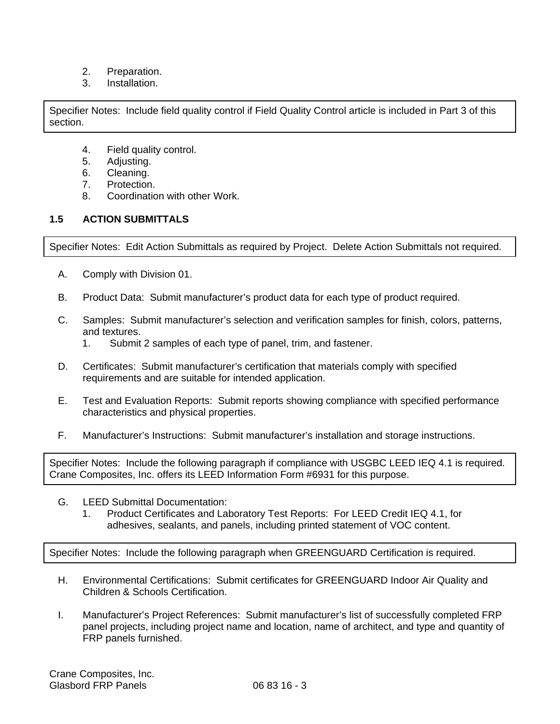- 2. Preparation.
- 3. Installation.

Specifier Notes: Include field quality control if Field Quality Control article is included in Part 3 of this section.

- 4. Field quality control.
- 5. Adjusting.
- 6. Cleaning.
- 7. Protection.
- 8. Coordination with other Work.

## **1.5 ACTION SUBMITTALS**

Specifier Notes: Edit Action Submittals as required by Project. Delete Action Submittals not required.

- A. Comply with Division 01.
- B. Product Data: Submit manufacturer's product data for each type of product required.
- C. Samples: Submit manufacturer's selection and verification samples for finish, colors, patterns, and textures.
	- 1. Submit 2 samples of each type of panel, trim, and fastener.
- D. Certificates: Submit manufacturer's certification that materials comply with specified requirements and are suitable for intended application.
- E. Test and Evaluation Reports: Submit reports showing compliance with specified performance characteristics and physical properties.
- F. Manufacturer's Instructions: Submit manufacturer's installation and storage instructions.

Specifier Notes: Include the following paragraph if compliance with USGBC LEED IEQ 4.1 is required. Crane Composites, Inc. offers its LEED Information Form #6931 for this purpose.

- G. LEED Submittal Documentation:
	- 1. Product Certificates and Laboratory Test Reports: For LEED Credit IEQ 4.1, for adhesives, sealants, and panels, including printed statement of VOC content.

Specifier Notes: Include the following paragraph when GREENGUARD Certification is required.

- H. Environmental Certifications: Submit certificates for GREENGUARD Indoor Air Quality and Children & Schools Certification.
- I. Manufacturer's Project References: Submit manufacturer's list of successfully completed FRP panel projects, including project name and location, name of architect, and type and quantity of FRP panels furnished.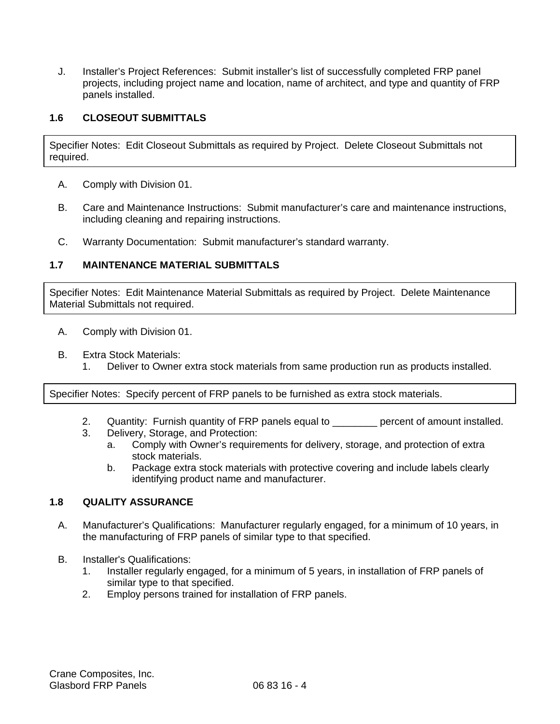J. Installer's Project References: Submit installer's list of successfully completed FRP panel projects, including project name and location, name of architect, and type and quantity of FRP panels installed.

## **1.6 CLOSEOUT SUBMITTALS**

Specifier Notes: Edit Closeout Submittals as required by Project. Delete Closeout Submittals not required.

- A. Comply with Division 01.
- B. Care and Maintenance Instructions: Submit manufacturer's care and maintenance instructions, including cleaning and repairing instructions.
- C. Warranty Documentation: Submit manufacturer's standard warranty.

### **1.7 MAINTENANCE MATERIAL SUBMITTALS**

Specifier Notes: Edit Maintenance Material Submittals as required by Project. Delete Maintenance Material Submittals not required.

- A. Comply with Division 01.
- B. Extra Stock Materials:
	- 1. Deliver to Owner extra stock materials from same production run as products installed.

Specifier Notes: Specify percent of FRP panels to be furnished as extra stock materials.

- 2. Quantity: Furnish quantity of FRP panels equal to \_\_\_\_\_\_\_\_ percent of amount installed.
- 3. Delivery, Storage, and Protection:
	- a. Comply with Owner's requirements for delivery, storage, and protection of extra stock materials.
	- b. Package extra stock materials with protective covering and include labels clearly identifying product name and manufacturer.

# **1.8 QUALITY ASSURANCE**

- A. Manufacturer's Qualifications: Manufacturer regularly engaged, for a minimum of 10 years, in the manufacturing of FRP panels of similar type to that specified.
- B. Installer's Qualifications:
	- 1. Installer regularly engaged, for a minimum of 5 years, in installation of FRP panels of similar type to that specified.
	- 2. Employ persons trained for installation of FRP panels.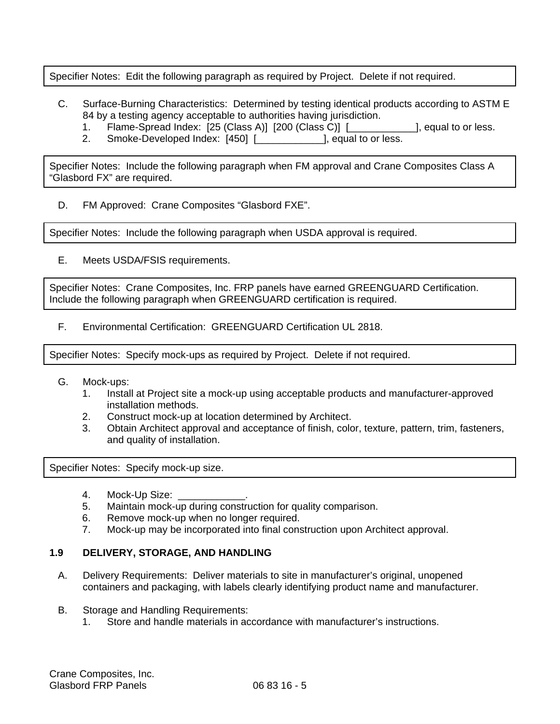Specifier Notes: Edit the following paragraph as required by Project. Delete if not required.

- C. Surface-Burning Characteristics: Determined by testing identical products according to ASTM E 84 by a testing agency acceptable to authorities having jurisdiction.
	- 1. Flame-Spread Index: [25 (Class A)] [200 (Class C)] [ [Class C)] [ Requal to or less.
	- 2. Smoke-Developed Index: [450] [\_\_\_\_\_\_\_\_\_\_\_\_], equal to or less.

Specifier Notes: Include the following paragraph when FM approval and Crane Composites Class A "Glasbord FX" are required.

D. FM Approved: Crane Composites "Glasbord FXE".

Specifier Notes: Include the following paragraph when USDA approval is required.

E. Meets USDA/FSIS requirements.

Specifier Notes: Crane Composites, Inc. FRP panels have earned GREENGUARD Certification. Include the following paragraph when GREENGUARD certification is required.

F. Environmental Certification: GREENGUARD Certification UL 2818.

Specifier Notes: Specify mock-ups as required by Project. Delete if not required.

- G. Mock-ups:
	- 1. Install at Project site a mock-up using acceptable products and manufacturer-approved installation methods.
	- 2. Construct mock-up at location determined by Architect.
	- 3. Obtain Architect approval and acceptance of finish, color, texture, pattern, trim, fasteners, and quality of installation.

Specifier Notes: Specify mock-up size.

- 
- 4. Mock-Up Size: \_<br>5. Maintain mock-ur Maintain mock-up during construction for quality comparison.
- 6. Remove mock-up when no longer required.
- 7. Mock-up may be incorporated into final construction upon Architect approval.

### **1.9 DELIVERY, STORAGE, AND HANDLING**

- A. Delivery Requirements: Deliver materials to site in manufacturer's original, unopened containers and packaging, with labels clearly identifying product name and manufacturer.
- B. Storage and Handling Requirements:
	- 1. Store and handle materials in accordance with manufacturer's instructions.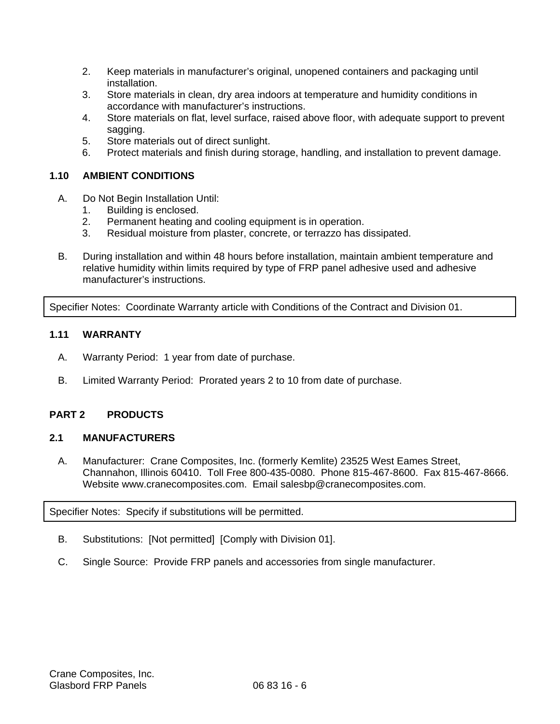- 2. Keep materials in manufacturer's original, unopened containers and packaging until installation.
- 3. Store materials in clean, dry area indoors at temperature and humidity conditions in accordance with manufacturer's instructions.
- 4. Store materials on flat, level surface, raised above floor, with adequate support to prevent sagging.
- 5. Store materials out of direct sunlight.
- 6. Protect materials and finish during storage, handling, and installation to prevent damage.

## **1.10 AMBIENT CONDITIONS**

- A. Do Not Begin Installation Until:
	- 1. Building is enclosed.
	- 2. Permanent heating and cooling equipment is in operation.
	- 3. Residual moisture from plaster, concrete, or terrazzo has dissipated.
- B. During installation and within 48 hours before installation, maintain ambient temperature and relative humidity within limits required by type of FRP panel adhesive used and adhesive manufacturer's instructions.

Specifier Notes: Coordinate Warranty article with Conditions of the Contract and Division 01.

### **1.11 WARRANTY**

- A. Warranty Period: 1 year from date of purchase.
- B. Limited Warranty Period: Prorated years 2 to 10 from date of purchase.

## **PART 2 PRODUCTS**

### **2.1 MANUFACTURERS**

A. Manufacturer: Crane Composites, Inc. (formerly Kemlite) 23525 West Eames Street, Channahon, Illinois 60410. Toll Free 800-435-0080. Phone 815-467-8600. Fax 815-467-8666. Website www.cranecomposites.com. Email salesbp@cranecomposites.com.

Specifier Notes: Specify if substitutions will be permitted.

- B. Substitutions: [Not permitted] [Comply with Division 01].
- C. Single Source: Provide FRP panels and accessories from single manufacturer.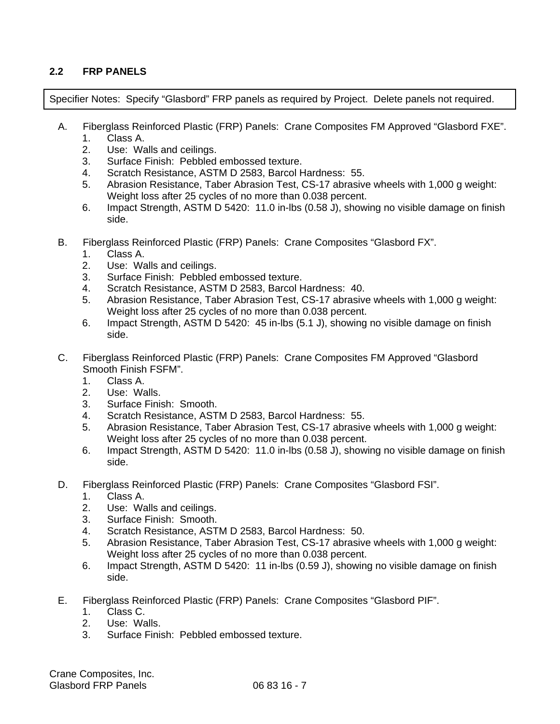## **2.2 FRP PANELS**

Specifier Notes: Specify "Glasbord" FRP panels as required by Project. Delete panels not required.

- A. Fiberglass Reinforced Plastic (FRP) Panels: Crane Composites FM Approved "Glasbord FXE".
	- 1. Class A.
	- 2. Use: Walls and ceilings.
	- 3. Surface Finish: Pebbled embossed texture.
	- 4. Scratch Resistance, ASTM D 2583, Barcol Hardness: 55.
	- 5. Abrasion Resistance, Taber Abrasion Test, CS-17 abrasive wheels with 1,000 g weight: Weight loss after 25 cycles of no more than 0.038 percent.
	- 6. Impact Strength, ASTM D 5420: 11.0 in-lbs (0.58 J), showing no visible damage on finish side.
- B. Fiberglass Reinforced Plastic (FRP) Panels: Crane Composites "Glasbord FX".
	- 1. Class A.
	- 2. Use: Walls and ceilings.
	- 3. Surface Finish: Pebbled embossed texture.
	- 4. Scratch Resistance, ASTM D 2583, Barcol Hardness: 40.
	- 5. Abrasion Resistance, Taber Abrasion Test, CS-17 abrasive wheels with 1,000 g weight: Weight loss after 25 cycles of no more than 0.038 percent.
	- 6. Impact Strength, ASTM D 5420: 45 in-lbs (5.1 J), showing no visible damage on finish side.
- C. Fiberglass Reinforced Plastic (FRP) Panels: Crane Composites FM Approved "Glasbord Smooth Finish FSFM".
	- 1. Class A.
	- 2. Use: Walls.
	- 3. Surface Finish: Smooth.
	- 4. Scratch Resistance, ASTM D 2583, Barcol Hardness: 55.
	- 5. Abrasion Resistance, Taber Abrasion Test, CS-17 abrasive wheels with 1,000 g weight: Weight loss after 25 cycles of no more than 0.038 percent.
	- 6. Impact Strength, ASTM D 5420: 11.0 in-lbs (0.58 J), showing no visible damage on finish side.
- D. Fiberglass Reinforced Plastic (FRP) Panels: Crane Composites "Glasbord FSI".
	- 1. Class A.
	- 2. Use: Walls and ceilings.
	- 3. Surface Finish: Smooth.
	- 4. Scratch Resistance, ASTM D 2583, Barcol Hardness: 50.
	- 5. Abrasion Resistance, Taber Abrasion Test, CS-17 abrasive wheels with 1,000 g weight: Weight loss after 25 cycles of no more than 0.038 percent.
	- 6. Impact Strength, ASTM D 5420: 11 in-lbs (0.59 J), showing no visible damage on finish side.
- E. Fiberglass Reinforced Plastic (FRP) Panels: Crane Composites "Glasbord PIF".
	- 1. Class C.
	- 2. Use: Walls.
	- 3. Surface Finish: Pebbled embossed texture.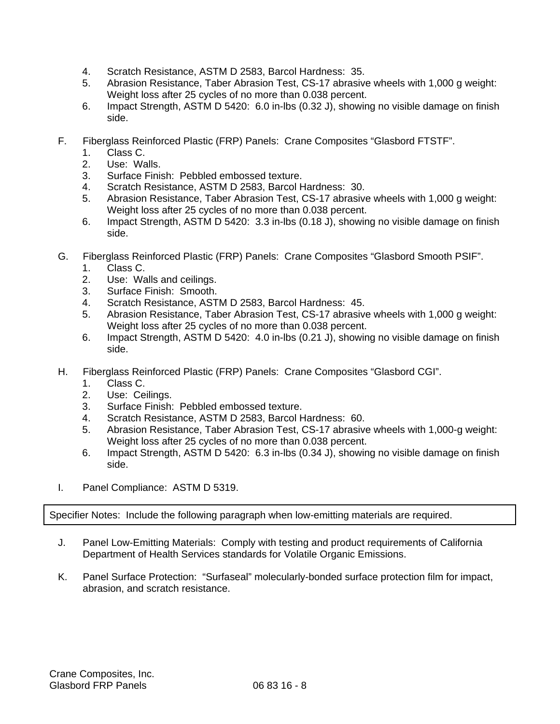- 4. Scratch Resistance, ASTM D 2583, Barcol Hardness: 35.
- 5. Abrasion Resistance, Taber Abrasion Test, CS-17 abrasive wheels with 1,000 g weight: Weight loss after 25 cycles of no more than 0.038 percent.
- 6. Impact Strength, ASTM D 5420: 6.0 in-lbs (0.32 J), showing no visible damage on finish side.
- F. Fiberglass Reinforced Plastic (FRP) Panels: Crane Composites "Glasbord FTSTF".
	- 1. Class C.
	- 2. Use: Walls.
	- 3. Surface Finish: Pebbled embossed texture.
	- 4. Scratch Resistance, ASTM D 2583, Barcol Hardness: 30.
	- 5. Abrasion Resistance, Taber Abrasion Test, CS-17 abrasive wheels with 1,000 g weight: Weight loss after 25 cycles of no more than 0.038 percent.
	- 6. Impact Strength, ASTM D 5420: 3.3 in-lbs (0.18 J), showing no visible damage on finish side.
- G. Fiberglass Reinforced Plastic (FRP) Panels: Crane Composites "Glasbord Smooth PSIF".
	- 1. Class C.
	- 2. Use: Walls and ceilings.
	- 3. Surface Finish: Smooth.
	- 4. Scratch Resistance, ASTM D 2583, Barcol Hardness: 45.
	- 5. Abrasion Resistance, Taber Abrasion Test, CS-17 abrasive wheels with 1,000 g weight: Weight loss after 25 cycles of no more than 0.038 percent.
	- 6. Impact Strength, ASTM D 5420: 4.0 in-lbs (0.21 J), showing no visible damage on finish side.
- H. Fiberglass Reinforced Plastic (FRP) Panels: Crane Composites "Glasbord CGI".
	- 1. Class C.
	- 2. Use: Ceilings.
	- 3. Surface Finish: Pebbled embossed texture.
	- 4. Scratch Resistance, ASTM D 2583, Barcol Hardness: 60.
	- 5. Abrasion Resistance, Taber Abrasion Test, CS-17 abrasive wheels with 1,000-g weight: Weight loss after 25 cycles of no more than 0.038 percent.
	- 6. Impact Strength, ASTM D 5420: 6.3 in-lbs (0.34 J), showing no visible damage on finish side.
- I. Panel Compliance: ASTM D 5319.

Specifier Notes: Include the following paragraph when low-emitting materials are required.

- J. Panel Low-Emitting Materials: Comply with testing and product requirements of California Department of Health Services standards for Volatile Organic Emissions.
- K. Panel Surface Protection: "Surfaseal" molecularly-bonded surface protection film for impact, abrasion, and scratch resistance.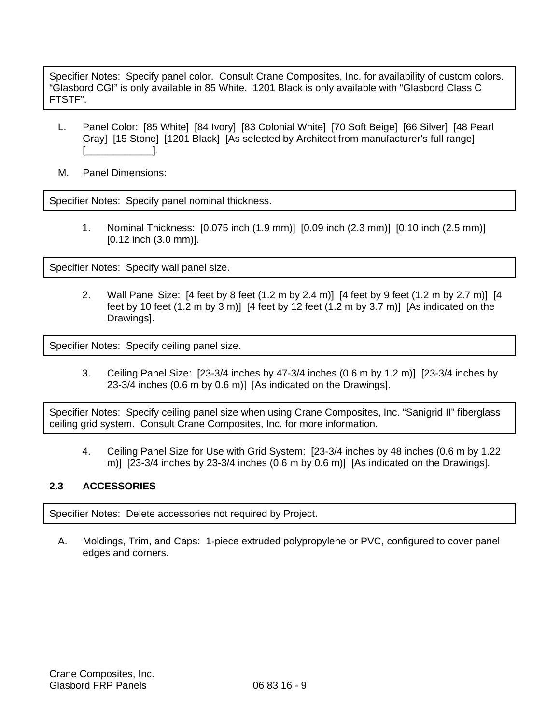Specifier Notes: Specify panel color. Consult Crane Composites, Inc. for availability of custom colors. "Glasbord CGI" is only available in 85 White. 1201 Black is only available with "Glasbord Class C FTSTF".

- L. Panel Color: [85 White] [84 Ivory] [83 Colonial White] [70 Soft Beige] [66 Silver] [48 Pearl Gray] [15 Stone] [1201 Black] [As selected by Architect from manufacturer's full range] [\_\_\_\_\_\_\_\_\_\_\_\_].
- M. Panel Dimensions:

Specifier Notes: Specify panel nominal thickness.

1. Nominal Thickness: [0.075 inch (1.9 mm)] [0.09 inch (2.3 mm)] [0.10 inch (2.5 mm)] [0.12 inch (3.0 mm)].

Specifier Notes: Specify wall panel size.

2. Wall Panel Size: [4 feet by 8 feet (1.2 m by 2.4 m)] [4 feet by 9 feet (1.2 m by 2.7 m)] [4 feet by 10 feet (1.2 m by 3 m)] [4 feet by 12 feet (1.2 m by 3.7 m)] [As indicated on the Drawings].

Specifier Notes: Specify ceiling panel size.

3. Ceiling Panel Size: [23-3/4 inches by 47-3/4 inches (0.6 m by 1.2 m)] [23-3/4 inches by 23-3/4 inches (0.6 m by 0.6 m)] [As indicated on the Drawings].

Specifier Notes: Specify ceiling panel size when using Crane Composites, Inc. "Sanigrid II" fiberglass ceiling grid system. Consult Crane Composites, Inc. for more information.

4. Ceiling Panel Size for Use with Grid System: [23-3/4 inches by 48 inches (0.6 m by 1.22 m)] [23-3/4 inches by 23-3/4 inches (0.6 m by 0.6 m)] [As indicated on the Drawings].

### **2.3 ACCESSORIES**

Specifier Notes: Delete accessories not required by Project.

A. Moldings, Trim, and Caps: 1-piece extruded polypropylene or PVC, configured to cover panel edges and corners.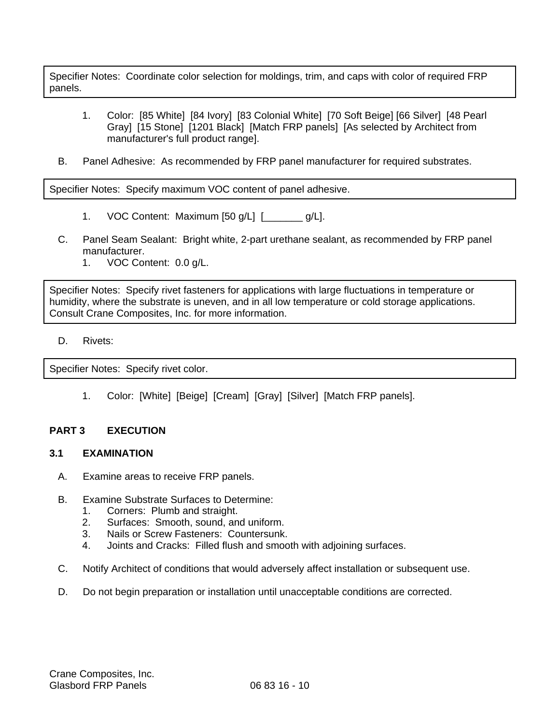Specifier Notes: Coordinate color selection for moldings, trim, and caps with color of required FRP panels.

- 1. Color: [85 White] [84 Ivory] [83 Colonial White] [70 Soft Beige] [66 Silver] [48 Pearl Gray] [15 Stone] [1201 Black] [Match FRP panels] [As selected by Architect from manufacturer's full product range].
- B. Panel Adhesive: As recommended by FRP panel manufacturer for required substrates.

Specifier Notes: Specify maximum VOC content of panel adhesive.

- 1. VOC Content: Maximum [50 g/L] [\_\_\_\_\_\_\_ g/L].
- C. Panel Seam Sealant: Bright white, 2-part urethane sealant, as recommended by FRP panel manufacturer.
	- 1. VOC Content: 0.0 g/L.

Specifier Notes: Specify rivet fasteners for applications with large fluctuations in temperature or humidity, where the substrate is uneven, and in all low temperature or cold storage applications. Consult Crane Composites, Inc. for more information.

D. Rivets:

Specifier Notes: Specify rivet color.

1. Color: [White] [Beige] [Cream] [Gray] [Silver] [Match FRP panels].

### **PART 3 EXECUTION**

#### **3.1 EXAMINATION**

- A. Examine areas to receive FRP panels.
- B. Examine Substrate Surfaces to Determine:
	- 1. Corners: Plumb and straight.
	- 2. Surfaces: Smooth, sound, and uniform.
	- 3. Nails or Screw Fasteners: Countersunk.
	- 4. Joints and Cracks: Filled flush and smooth with adjoining surfaces.
- C. Notify Architect of conditions that would adversely affect installation or subsequent use.
- D. Do not begin preparation or installation until unacceptable conditions are corrected.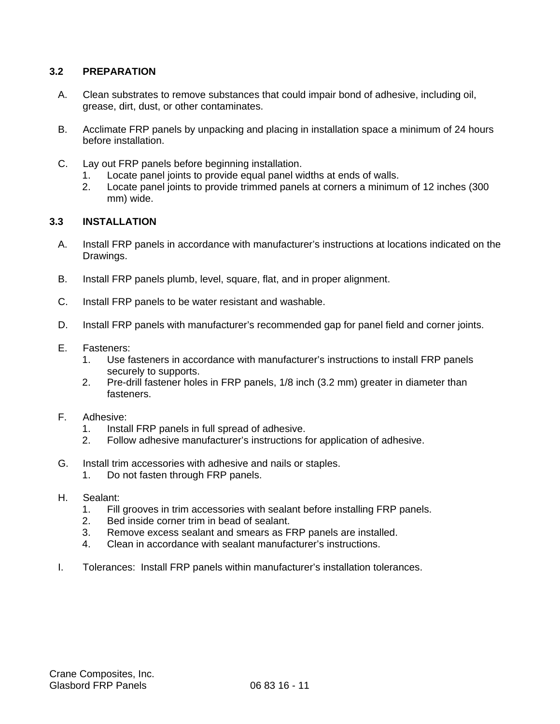## **3.2 PREPARATION**

- A. Clean substrates to remove substances that could impair bond of adhesive, including oil, grease, dirt, dust, or other contaminates.
- B. Acclimate FRP panels by unpacking and placing in installation space a minimum of 24 hours before installation.
- C. Lay out FRP panels before beginning installation.
	- 1. Locate panel joints to provide equal panel widths at ends of walls.
	- 2. Locate panel joints to provide trimmed panels at corners a minimum of 12 inches (300 mm) wide.

### **3.3 INSTALLATION**

- A. Install FRP panels in accordance with manufacturer's instructions at locations indicated on the Drawings.
- B. Install FRP panels plumb, level, square, flat, and in proper alignment.
- C. Install FRP panels to be water resistant and washable.
- D. Install FRP panels with manufacturer's recommended gap for panel field and corner joints.
- E. Fasteners:
	- 1. Use fasteners in accordance with manufacturer's instructions to install FRP panels securely to supports.
	- 2. Pre-drill fastener holes in FRP panels, 1/8 inch (3.2 mm) greater in diameter than fasteners.
- F. Adhesive:
	- 1. Install FRP panels in full spread of adhesive.
	- 2. Follow adhesive manufacturer's instructions for application of adhesive.
- G. Install trim accessories with adhesive and nails or staples.
	- 1. Do not fasten through FRP panels.
- H. Sealant:
	- 1. Fill grooves in trim accessories with sealant before installing FRP panels.
	- 2. Bed inside corner trim in bead of sealant.
	- 3. Remove excess sealant and smears as FRP panels are installed.
	- 4. Clean in accordance with sealant manufacturer's instructions.
- I. Tolerances: Install FRP panels within manufacturer's installation tolerances.